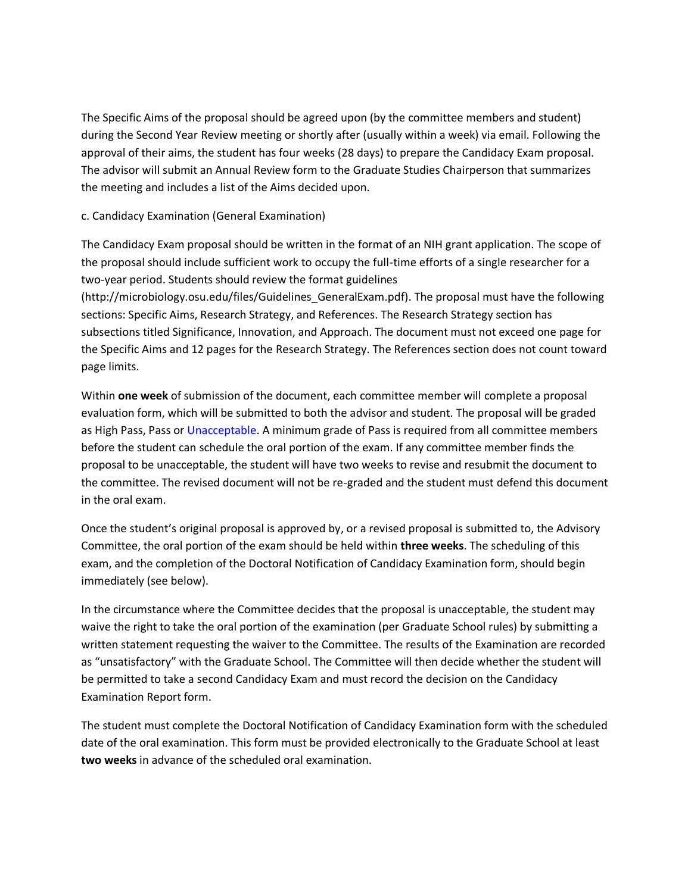The Specific Aims of the proposal should be agreed upon (by the committee members and student) during the Second Year Review meeting or shortly after (usually within a week) via email. Following the approval of their aims, the student has four weeks (28 days) to prepare the Candidacy Exam proposal. The advisor will submit an Annual Review form to the Graduate Studies Chairperson that summarizes the meeting and includes a list of the Aims decided upon.

## c. Candidacy Examination (General Examination)

The Candidacy Exam proposal should be written in the format of an NIH grant application. The scope of the proposal should include sufficient work to occupy the full-time efforts of a single researcher for a two-year period. Students should review the format guidelines (http://microbiology.osu.edu/files/Guidelines\_GeneralExam.pdf). The proposal must have the following sections: Specific Aims, Research Strategy, and References. The Research Strategy section has subsections titled Significance, Innovation, and Approach. The document must not exceed one page for the Specific Aims and 12 pages for the Research Strategy. The References section does not count toward page limits.

Within **one week** of submission of the document, each committee member will complete a proposal evaluation form, which will be submitted to both the advisor and student. The proposal will be graded as High Pass, Pass or Unacceptable. A minimum grade of Pass is required from all committee members before the student can schedule the oral portion of the exam. If any committee member finds the proposal to be unacceptable, the student will have two weeks to revise and resubmit the document to the committee. The revised document will not be re-graded and the student must defend this document in the oral exam.

Once the student's original proposal is approved by, or a revised proposal is submitted to, the Advisory Committee, the oral portion of the exam should be held within **three weeks**. The scheduling of this exam, and the completion of the Doctoral Notification of Candidacy Examination form, should begin immediately (see below).

In the circumstance where the Committee decides that the proposal is unacceptable, the student may waive the right to take the oral portion of the examination (per Graduate School rules) by submitting a written statement requesting the waiver to the Committee. The results of the Examination are recorded as "unsatisfactory" with the Graduate School. The Committee will then decide whether the student will be permitted to take a second Candidacy Exam and must record the decision on the Candidacy Examination Report form.

The student must complete the Doctoral Notification of Candidacy Examination form with the scheduled date of the oral examination. This form must be provided electronically to the Graduate School at least **two weeks** in advance of the scheduled oral examination.